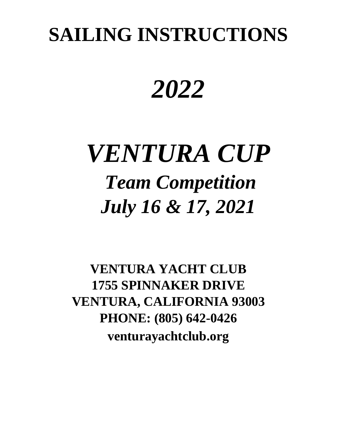## **SAILING INSTRUCTIONS**

# *2022*

# *VENTURA CUP Team Competition July 16 & 17, 2021*

**VENTURA YACHT CLUB 1755 SPINNAKER DRIVE VENTURA, CALIFORNIA 93003 PHONE: (805) 642-0426 venturayachtclub.org**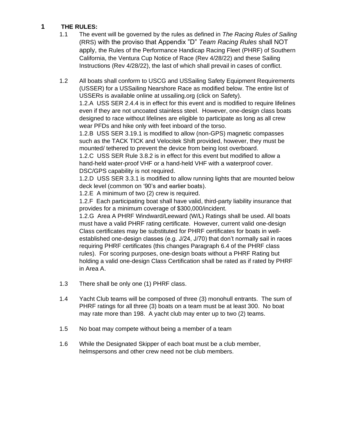#### **1 THE RULES:**

- 1.1 The event will be governed by the rules as defined in *The Racing Rules of Sailing* (RRS) with the proviso that Appendix "D" *Team Racing Rules* shall NOT apply, the Rules of the Performance Handicap Racing Fleet (PHRF) of Southern California, the Ventura Cup Notice of Race (Rev 4/28/22) and these Sailing Instructions (Rev 4/28/22), the last of which shall prevail in cases of conflict.
- 1.2 All boats shall conform to USCG and USSailing Safety Equipment Requirements (USSER) for a USSailing Nearshore Race as modified below. The entire list of USSERs is available online at ussailing.org (click on Safety).

1.2.A USS SER 2.4.4 is in effect for this event and is modified to require lifelines even if they are not uncoated stainless steel. However, one-design class boats designed to race without lifelines are eligible to participate as long as all crew wear PFDs and hike only with feet inboard of the torso.

1.2.B USS SER 3.19.1 is modified to allow (non-GPS) magnetic compasses such as the TACK TICK and Velocitek Shift provided, however, they must be mounted/ tethered to prevent the device from being lost overboard.

1.2.C USS SER Rule 3.8.2 is in effect for this event but modified to allow a hand-held water-proof VHF or a hand-held VHF with a waterproof cover. DSC/GPS capability is not required.

1.2.D USS SER 3.3.1 is modified to allow running lights that are mounted below deck level (common on '90's and earlier boats).

1.2.E A minimum of two (2) crew is required.

1.2.F Each participating boat shall have valid, third-party liability insurance that provides for a minimum coverage of \$300,000/incident.

1.2.G Area A PHRF Windward/Leeward (W/L) Ratings shall be used. All boats must have a valid PHRF rating certificate. However, current valid one-design Class certificates may be substituted for PHRF certificates for boats in wellestablished one-design classes (e.g. J/24, J/70) that don't normally sail in races requiring PHRF certificates (this changes Paragraph 6.4 of the PHRF class rules). For scoring purposes, one-design boats without a PHRF Rating but holding a valid one-design Class Certification shall be rated as if rated by PHRF in Area A.

- 1.3 There shall be only one (1) PHRF class.
- 1.4 Yacht Club teams will be composed of three (3) monohull entrants. The sum of PHRF ratings for all three (3) boats on a team must be at least 300. No boat may rate more than 198. A yacht club may enter up to two (2) teams.
- 1.5 No boat may compete without being a member of a team
- 1.6 While the Designated Skipper of each boat must be a club member, helmspersons and other crew need not be club members.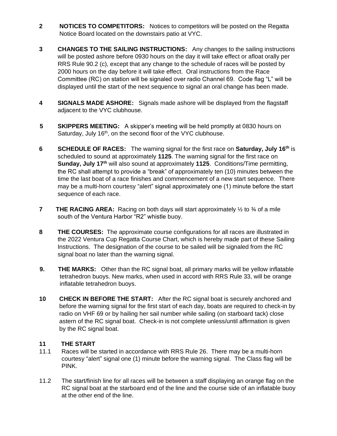- **2 NOTICES TO COMPETITORS:** Notices to competitors will be posted on the Regatta Notice Board located on the downstairs patio at VYC.
- **3 CHANGES TO THE SAILING INSTRUCTIONS:** Any changes to the sailing instructions will be posted ashore before 0930 hours on the day it will take effect or afloat orally per RRS Rule 90.2 (c), except that any change to the schedule of races will be posted by 2000 hours on the day before it will take effect. Oral instructions from the Race Committee (RC) on station will be signaled over radio Channel 69. Code flag "L" will be displayed until the start of the next sequence to signal an oral change has been made.
- **4 SIGNALS MADE ASHORE:** Signals made ashore will be displayed from the flagstaff adjacent to the VYC clubhouse.
- **5 SKIPPERS MEETING:** A skipper's meeting will be held promptly at 0830 hours on Saturday, July 16<sup>th</sup>, on the second floor of the VYC clubhouse.
- **6** SCHEDULE OF RACES: The warning signal for the first race on Saturday, July 16<sup>th</sup> is scheduled to sound at approximately **1125**. The warning signal for the first race on **Sunday, July 17<sup>th</sup> will also sound at approximately 1125. Conditions/Time permitting,** the RC shall attempt to provide a "break" of approximately ten (10) minutes between the time the last boat of a race finishes and commencement of a new start sequence. There may be a multi-horn courtesy "alert" signal approximately one (1) minute before the start sequence of each race.
- **7** THE RACING AREA: Racing on both days will start approximately  $\frac{1}{2}$  to  $\frac{3}{4}$  of a mile south of the Ventura Harbor "R2" whistle buoy.
- **8 THE COURSES:** The approximate course configurations for all races are illustrated in the 2022 Ventura Cup Regatta Course Chart, which is hereby made part of these Sailing Instructions. The designation of the course to be sailed will be signaled from the RC signal boat no later than the warning signal.
- **9. THE MARKS:** Other than the RC signal boat, all primary marks will be yellow inflatable tetrahedron buoys. New marks, when used in accord with RRS Rule 33, will be orange inflatable tetrahedron buoys.
- **10 CHECK IN BEFORE THE START:** After the RC signal boat is securely anchored and before the warning signal for the first start of each day, boats are required to check-in by radio on VHF 69 or by hailing her sail number while sailing (on starboard tack) close astern of the RC signal boat. Check-in is not complete unless/until affirmation is given by the RC signal boat.

#### **11 THE START**

- 11.1 Races will be started in accordance with RRS Rule 26. There may be a multi-horn courtesy "alert" signal one (1) minute before the warning signal. The Class flag will be PINK.
- 11.2 The start/finish line for all races will be between a staff displaying an orange flag on the RC signal boat at the starboard end of the line and the course side of an inflatable buoy at the other end of the line.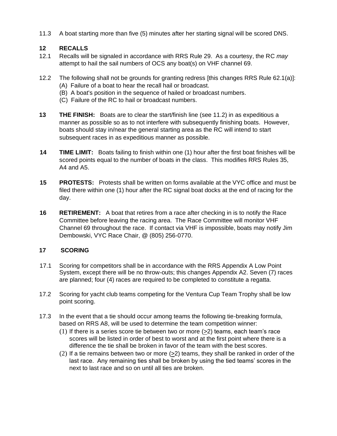11.3 A boat starting more than five (5) minutes after her starting signal will be scored DNS.

#### **12 RECALLS**

- 12.1 Recalls will be signaled in accordance with RRS Rule 29. As a courtesy, the RC *may* attempt to hail the sail numbers of OCS any boat(s) on VHF channel 69.
- 12.2 The following shall not be grounds for granting redress [this changes RRS Rule 62.1(a)]: (A) Failure of a boat to hear the recall hail or broadcast.
	- (B) A boat's position in the sequence of hailed or broadcast numbers.
	- (C) Failure of the RC to hail or broadcast numbers.
- **13** THE FINISH: Boats are to clear the start/finish line (see 11.2) in as expeditious a manner as possible so as to not interfere with subsequently finishing boats. However, boats should stay in/near the general starting area as the RC will intend to start subsequent races in as expeditious manner as possible.
- **14 TIME LIMIT:** Boats failing to finish within one (1) hour after the first boat finishes will be scored points equal to the number of boats in the class. This modifies RRS Rules 35, A4 and A5.
- **15 PROTESTS:** Protests shall be written on forms available at the VYC office and must be filed there within one (1) hour after the RC signal boat docks at the end of racing for the day.
- **16 RETIREMENT:** A boat that retires from a race after checking in is to notify the Race Committee before leaving the racing area. The Race Committee will monitor VHF Channel 69 throughout the race. If contact via VHF is impossible, boats may notify Jim Dembowski, VYC Race Chair, @ (805) 256-0770.

#### **17 SCORING**

- 17.1 Scoring for competitors shall be in accordance with the RRS Appendix A Low Point System, except there will be no throw-outs; this changes Appendix A2. Seven (7) races are planned; four (4) races are required to be completed to constitute a regatta.
- 17.2 Scoring for yacht club teams competing for the Ventura Cup Team Trophy shall be low point scoring.
- 17.3 In the event that a tie should occur among teams the following tie-breaking formula, based on RRS A8, will be used to determine the team competition winner:
	- $(1)$  If there is a series score tie between two or more  $(>=2)$  teams, each team's race scores will be listed in order of best to worst and at the first point where there is a difference the tie shall be broken in favor of the team with the best scores.
	- $(2)$  If a tie remains between two or more  $(>2)$  teams, they shall be ranked in order of the last race. Any remaining ties shall be broken by using the tied teams' scores in the next to last race and so on until all ties are broken.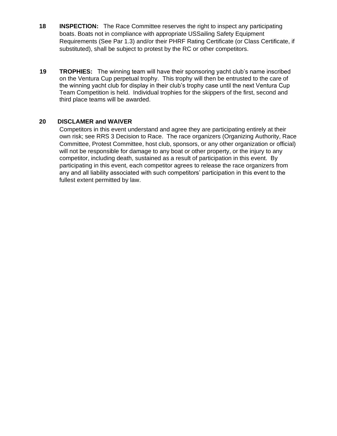- **18 INSPECTION:** The Race Committee reserves the right to inspect any participating boats. Boats not in compliance with appropriate USSailing Safety Equipment Requirements (See Par 1.3) and/or their PHRF Rating Certificate (or Class Certificate, if substituted), shall be subject to protest by the RC or other competitors.
- **19 TROPHIES:** The winning team will have their sponsoring yacht club's name inscribed on the Ventura Cup perpetual trophy. This trophy will then be entrusted to the care of the winning yacht club for display in their club's trophy case until the next Ventura Cup Team Competition is held. Individual trophies for the skippers of the first, second and third place teams will be awarded.

#### **20 DISCLAMER and WAIVER**

Competitors in this event understand and agree they are participating entirely at their own risk; see RRS 3 Decision to Race. The race organizers (Organizing Authority, Race Committee, Protest Committee, host club, sponsors, or any other organization or official) will not be responsible for damage to any boat or other property, or the injury to any competitor, including death, sustained as a result of participation in this event. By participating in this event, each competitor agrees to release the race organizers from any and all liability associated with such competitors' participation in this event to the fullest extent permitted by law.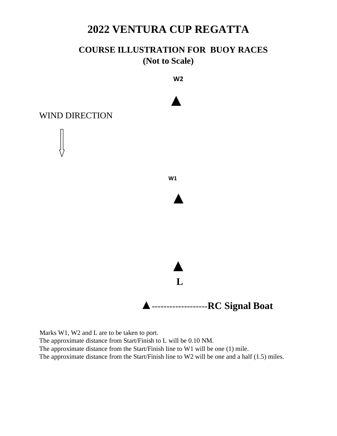## **2022 VENTURA CUP REGATTA**

### **COURSE ILLUSTRATION FOR BUOY RACES (Not to Scale)**



Marks W1, W2 and L are to be taken to port. The approximate distance from Start/Finish to L will be 0.10 NM. The approximate distance from the Start/Finish line to W1 will be one (1) mile. The approximate distance from the Start/Finish line to W2 will be one and a half (1.5) miles.